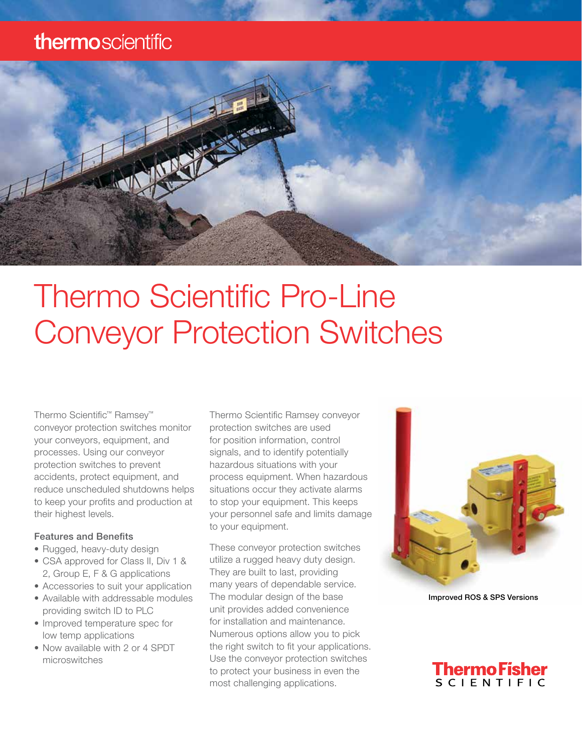### thermoscientific



# Thermo Scientific Pro-Line Conveyor Protection Switches

Thermo Scientific™ Ramsey™ conveyor protection switches monitor your conveyors, equipment, and processes. Using our conveyor protection switches to prevent accidents, protect equipment, and reduce unscheduled shutdowns helps to keep your profits and production at their highest levels.

#### Features and Benefits

- Rugged, heavy-duty design
- CSA approved for Class II, Div 1 & 2, Group E, F & G applications
- Accessories to suit your application
- Available with addressable modules providing switch ID to PLC
- Improved temperature spec for low temp applications
- Now available with 2 or 4 SPDT microswitches

Thermo Scientific Ramsey conveyor protection switches are used for position information, control signals, and to identify potentially hazardous situations with your process equipment. When hazardous situations occur they activate alarms to stop your equipment. This keeps your personnel safe and limits damage to your equipment.

These conveyor protection switches utilize a rugged heavy duty design. They are built to last, providing many years of dependable service. The modular design of the base unit provides added convenience for installation and maintenance. Numerous options allow you to pick the right switch to fit your applications. Use the conveyor protection switches to protect your business in even the most challenging applications.



Improved ROS & SPS Versions

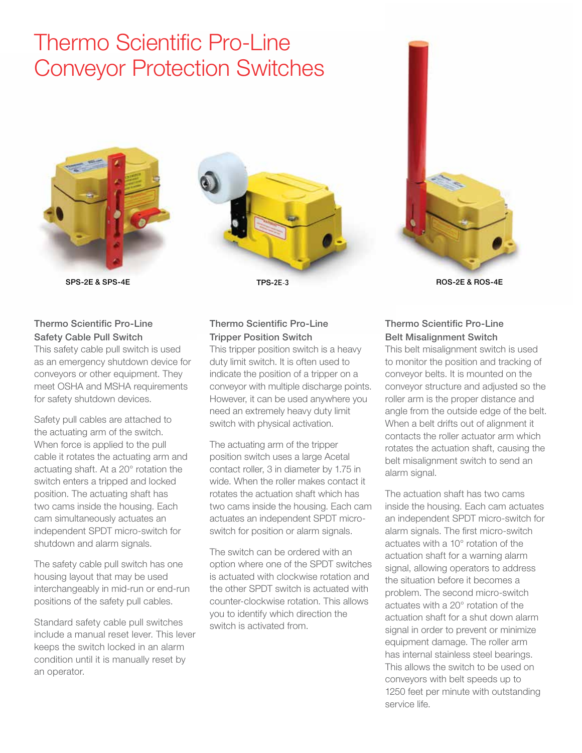## Thermo Scientific Pro-Line Conveyor Protection Switches







#### Thermo Scientific Pro-Line Safety Cable Pull Switch

This safety cable pull switch is used as an emergency shutdown device for conveyors or other equipment. They meet OSHA and MSHA requirements for safety shutdown devices.

Safety pull cables are attached to the actuating arm of the switch. When force is applied to the pull cable it rotates the actuating arm and actuating shaft. At a 20° rotation the switch enters a tripped and locked position. The actuating shaft has two cams inside the housing. Each cam simultaneously actuates an independent SPDT micro-switch for shutdown and alarm signals.

The safety cable pull switch has one housing layout that may be used interchangeably in mid-run or end-run positions of the safety pull cables.

Standard safety cable pull switches include a manual reset lever. This lever keeps the switch locked in an alarm condition until it is manually reset by an operator.

#### Thermo Scientific Pro-Line Tripper Position Switch

This tripper position switch is a heavy duty limit switch. It is often used to indicate the position of a tripper on a conveyor with multiple discharge points. However, it can be used anywhere you need an extremely heavy duty limit switch with physical activation.

The actuating arm of the tripper position switch uses a large Acetal contact roller, 3 in diameter by 1.75 in wide. When the roller makes contact it rotates the actuation shaft which has two cams inside the housing. Each cam actuates an independent SPDT microswitch for position or alarm signals.

The switch can be ordered with an option where one of the SPDT switches is actuated with clockwise rotation and the other SPDT switch is actuated with counter-clockwise rotation. This allows you to identify which direction the switch is activated from.

#### Thermo Scientific Pro-Line Belt Misalignment Switch

This belt misalignment switch is used to monitor the position and tracking of conveyor belts. It is mounted on the conveyor structure and adjusted so the roller arm is the proper distance and angle from the outside edge of the belt. When a belt drifts out of alignment it contacts the roller actuator arm which rotates the actuation shaft, causing the belt misalignment switch to send an alarm signal.

The actuation shaft has two cams inside the housing. Each cam actuates an independent SPDT micro-switch for alarm signals. The first micro-switch actuates with a 10° rotation of the actuation shaft for a warning alarm signal, allowing operators to address the situation before it becomes a problem. The second micro-switch actuates with a 20° rotation of the actuation shaft for a shut down alarm signal in order to prevent or minimize equipment damage. The roller arm has internal stainless steel bearings. This allows the switch to be used on conveyors with belt speeds up to 1250 feet per minute with outstanding service life.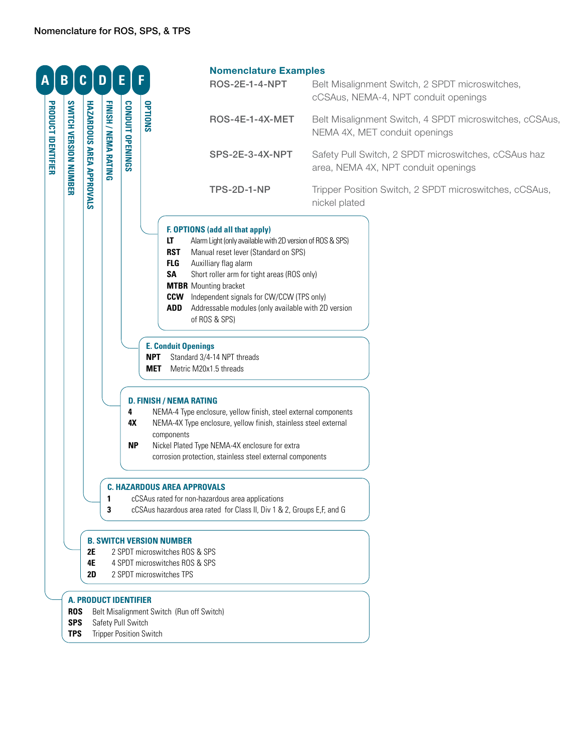| A                  | B                                      | $\mathbf{C}$                    | D                                                                                                                               | Е                                                                                    |                   | <b>Nomenclature Examples</b><br><b>ROS-2E-1-4-NPT</b>                                                                                                                                                                                                                                                                                                                                                                       | Belt Misalignment Switch, 2 SPDT microswitches,                                                 |
|--------------------|----------------------------------------|---------------------------------|---------------------------------------------------------------------------------------------------------------------------------|--------------------------------------------------------------------------------------|-------------------|-----------------------------------------------------------------------------------------------------------------------------------------------------------------------------------------------------------------------------------------------------------------------------------------------------------------------------------------------------------------------------------------------------------------------------|-------------------------------------------------------------------------------------------------|
|                    |                                        |                                 |                                                                                                                                 |                                                                                      | OPTIONS           | <b>ROS-4E-1-4X-MET</b>                                                                                                                                                                                                                                                                                                                                                                                                      | cCSAus, NEMA-4, NPT conduit openings<br>Belt Misalignment Switch, 4 SPDT microswitches, cCSAus, |
| PRODUCT IDENTIFIER |                                        |                                 |                                                                                                                                 | CONDUIT OPENINGS                                                                     |                   |                                                                                                                                                                                                                                                                                                                                                                                                                             | NEMA 4X, MET conduit openings                                                                   |
|                    | <b>SWITCH VERSION NUMBER</b>           | <b>HAZARDOUS AREA APPROVALS</b> | FINISH / NEMA RATING                                                                                                            |                                                                                      |                   | SPS-2E-3-4X-NPT                                                                                                                                                                                                                                                                                                                                                                                                             | Safety Pull Switch, 2 SPDT microswitches, cCSAus haz<br>area, NEMA 4X, NPT conduit openings     |
|                    |                                        |                                 |                                                                                                                                 |                                                                                      |                   | <b>TPS-2D-1-NP</b>                                                                                                                                                                                                                                                                                                                                                                                                          | Tripper Position Switch, 2 SPDT microswitches, cCSAus,<br>nickel plated                         |
|                    |                                        |                                 |                                                                                                                                 |                                                                                      |                   | F. OPTIONS (add all that apply)<br>Alarm Light (only available with 2D version of ROS & SPS)<br>LT<br><b>RST</b><br>Manual reset lever (Standard on SPS)<br>Auxilliary flag alarm<br>FLG<br><b>SA</b><br>Short roller arm for tight areas (ROS only)<br><b>MTBR</b> Mounting bracket<br><b>CCW</b> Independent signals for CW/CCW (TPS only)<br>ADD<br>Addressable modules (only available with 2D version<br>of ROS & SPS) |                                                                                                 |
|                    |                                        |                                 |                                                                                                                                 |                                                                                      | <b>NPT</b><br>MET | <b>E. Conduit Openings</b><br>Standard 3/4-14 NPT threads<br>Metric M20x1.5 threads                                                                                                                                                                                                                                                                                                                                         |                                                                                                 |
|                    |                                        |                                 |                                                                                                                                 | 4<br>4X<br><b>NP</b>                                                                 |                   | <b>D. FINISH / NEMA RATING</b><br>NEMA-4 Type enclosure, yellow finish, steel external components<br>NEMA-4X Type enclosure, yellow finish, stainless steel external<br>components<br>Nickel Plated Type NEMA-4X enclosure for extra<br>corrosion protection, stainless steel external components                                                                                                                           |                                                                                                 |
|                    |                                        |                                 | 1<br>3                                                                                                                          |                                                                                      |                   | <b>C. HAZARDOUS AREA APPROVALS</b><br>cCSAus rated for non-hazardous area applications<br>cCSAus hazardous area rated for Class II, Div 1 & 2, Groups E,F, and G                                                                                                                                                                                                                                                            |                                                                                                 |
|                    |                                        | <b>2E</b><br>4E<br><b>2D</b>    | <b>B. SWITCH VERSION NUMBER</b><br>2 SPDT microswitches ROS & SPS<br>4 SPDT microswitches ROS & SPS<br>2 SPDT microswitches TPS |                                                                                      |                   |                                                                                                                                                                                                                                                                                                                                                                                                                             |                                                                                                 |
|                    | <b>ROS</b><br><b>SPS</b><br><b>TPS</b> |                                 |                                                                                                                                 | <b>A. PRODUCT IDENTIFIER</b><br>Safety Pull Switch<br><b>Tripper Position Switch</b> |                   | Belt Misalignment Switch (Run off Switch)                                                                                                                                                                                                                                                                                                                                                                                   |                                                                                                 |